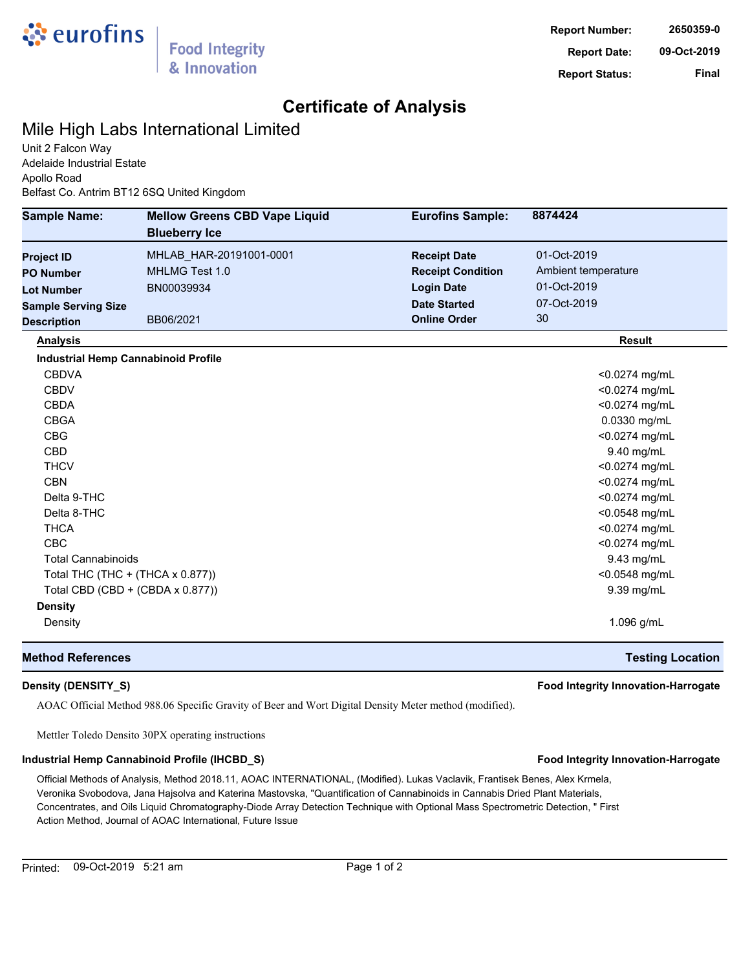

## **Certificate of Analysis**

### Mile High Labs International Limited

Unit 2 Falcon Way Adelaide Industrial Estate Apollo Road Belfast Co. Antrim BT12 6SQ United Kingdom

| <b>Sample Name:</b>        | <b>Mellow Greens CBD Vape Liquid</b><br><b>Blueberry Ice</b> | <b>Eurofins Sample:</b>  | 8874424                 |
|----------------------------|--------------------------------------------------------------|--------------------------|-------------------------|
| <b>Project ID</b>          | MHLAB_HAR-20191001-0001                                      | <b>Receipt Date</b>      | 01-Oct-2019             |
| <b>PO Number</b>           | MHLMG Test 1.0                                               | <b>Receipt Condition</b> | Ambient temperature     |
| <b>Lot Number</b>          | BN00039934                                                   | <b>Login Date</b>        | 01-Oct-2019             |
| <b>Sample Serving Size</b> |                                                              | <b>Date Started</b>      | 07-Oct-2019             |
| <b>Description</b>         | BB06/2021                                                    | <b>Online Order</b>      | 30                      |
| <b>Analysis</b>            |                                                              |                          | <b>Result</b>           |
|                            | <b>Industrial Hemp Cannabinoid Profile</b>                   |                          |                         |
| <b>CBDVA</b>               |                                                              |                          | <0.0274 mg/mL           |
| <b>CBDV</b>                |                                                              |                          | <0.0274 mg/mL           |
| <b>CBDA</b>                |                                                              |                          | <0.0274 mg/mL           |
| <b>CBGA</b>                |                                                              |                          | 0.0330 mg/mL            |
| <b>CBG</b>                 |                                                              |                          | <0.0274 mg/mL           |
| <b>CBD</b>                 |                                                              |                          | 9.40 mg/mL              |
| <b>THCV</b>                |                                                              |                          | <0.0274 mg/mL           |
| <b>CBN</b>                 |                                                              |                          | <0.0274 mg/mL           |
| Delta 9-THC                |                                                              |                          | <0.0274 mg/mL           |
| Delta 8-THC                |                                                              |                          | <0.0548 mg/mL           |
| <b>THCA</b>                |                                                              |                          | <0.0274 mg/mL           |
| <b>CBC</b>                 |                                                              |                          | <0.0274 mg/mL           |
| <b>Total Cannabinoids</b>  |                                                              |                          | 9.43 mg/mL              |
|                            | Total THC (THC + (THCA x 0.877))                             |                          | <0.0548 mg/mL           |
|                            | Total CBD (CBD + (CBDA x 0.877))                             |                          | 9.39 mg/mL              |
| <b>Density</b>             |                                                              |                          |                         |
| Density                    |                                                              |                          | 1.096 g/mL              |
| <b>Method References</b>   |                                                              |                          | <b>Testing Location</b> |

### **Density (DENSITY\_S) Food Integrity Innovation-Harrogate**

AOAC Official Method 988.06 Specific Gravity of Beer and Wort Digital Density Meter method (modified).

Mettler Toledo Densito 30PX operating instructions

### **Industrial Hemp Cannabinoid Profile (IHCBD\_S) Food Integrity Innovation-Harrogate**

Official Methods of Analysis, Method 2018.11, AOAC INTERNATIONAL, (Modified). Lukas Vaclavik, Frantisek Benes, Alex Krmela, Veronika Svobodova, Jana Hajsolva and Katerina Mastovska, "Quantification of Cannabinoids in Cannabis Dried Plant Materials, Concentrates, and Oils Liquid Chromatography-Diode Array Detection Technique with Optional Mass Spectrometric Detection, " First Action Method, Journal of AOAC International, Future Issue